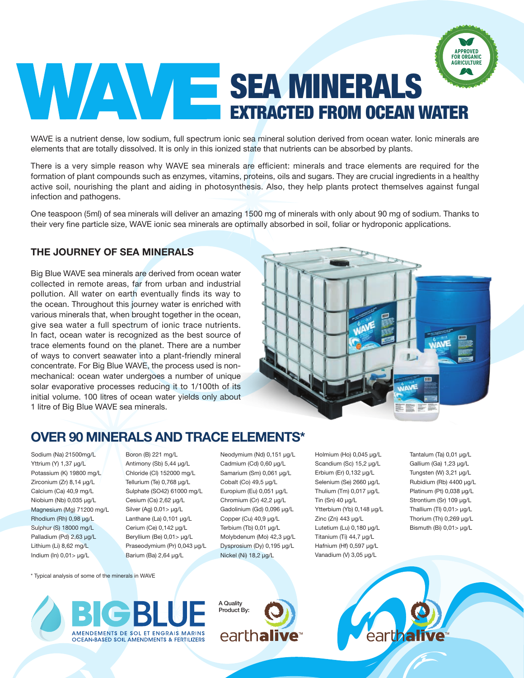# SEA MINERALS EXTRACTED FROM OCEAN WATER **APPROVED FOR ORGANIC AGRICULTURE**

WAVE is a nutrient dense, low sodium, full spectrum ionic sea mineral solution derived from ocean water. Ionic minerals are elements that are totally dissolved. It is only in this ionized state that nutrients can be absorbed by plants.

There is a very simple reason why WAVE sea minerals are efficient: minerals and trace elements are required for the formation of plant compounds such as enzymes, vitamins, proteins, oils and sugars. They are crucial ingredients in a healthy active soil, nourishing the plant and aiding in photosynthesis. Also, they help plants protect themselves against fungal infection and pathogens.

One teaspoon (5ml) of sea minerals will deliver an amazing 1500 mg of minerals with only about 90 mg of sodium. Thanks to their very fine particle size, WAVE ionic sea minerals are optimally absorbed in soil, foliar or hydroponic applications.

#### **THE JOURNEY OF SEA MINERALS**

Big Blue WAVE sea minerals are derived from ocean water collected in remote areas, far from urban and industrial pollution. All water on earth eventually finds its way to the ocean. Throughout this journey water is enriched with various minerals that, when brought together in the ocean, give sea water a full spectrum of ionic trace nutrients. In fact, ocean water is recognized as the best source of trace elements found on the planet. There are a number of ways to convert seawater into a plant-friendly mineral concentrate. For Big Blue WAVE, the process used is nonmechanical: ocean water undergoes a number of unique solar evaporative processes reducing it to 1/100th of its initial volume. 100 litres of ocean water yields only about 1 litre of Big Blue WAVE sea minerals.



## **OVER 90 MINERALS AND TRACE ELEMENTS\***

Sodium (Na) 21500mg/L Yttrium (Y) 1,37 μg/L Potassium (K) 19800 mg/L Zirconium (Zr) 8,14 μg/L Calcium (Ca) 40,9 mg/L Niobium (Nb) 0,035 μg/L Magnesium (Mg) 71200 mg/L Rhodium (Rh) 0,98 μg/L Sulphur (S) 18000 mg/L Palladium (Pd) 2,63 μg/L Lithium (Li) 8,62 mg/L Indium (In) 0,01> μg/L

Boron (B) 221 mg/L Antimony (Sb) 5,44 μg/L Chloride (Cl) 152000 mg/L Tellurium (Te) 0,768 μg/L Sulphate (SO42) 61000 mg/L Cesium (Cs) 2,62 μg/L Silver (Ag) 0,01> μg/L Lanthane (La) 0,101 μg/L Cerium (Ce) 0,142 μg/L Beryllium (Be) 0,01> μg/L Praseodymium (Pr) 0,043 μg/L Barium (Ba) 2,64 μg/L

Neodymium (Nd) 0,151 μg/L Cadmium (Cd) 0,60 μg/L Samarium (Sm) 0,061 μg/L Cobalt (Co) 49,5 μg/L Europium (Eu) 0,051 μg/L Chromium (Cr) 42,2 μg/L Gadolinium (Gd) 0,096 μg/L Copper (Cu) 40,9 μg/L Terbium (Tb) 0,01 μg/L Molybdenum (Mo) 42,3 μg/L Dysprosium (Dy) 0,195 μg/L Nickel (Ni) 18,2 μg/L

Holmium (Ho) 0,045 μg/L Scandium (Sc) 15,2 μg/L Erbium (Er) 0,132 μg/L Selenium (Se) 2660 μg/L Thulium (Tm) 0,017 μg/L Tin (Sn) 40 μg/L Ytterbium (Yb) 0,148 μg/L Zinc (Zn) 443 μg/L Lutetium (Lu) 0,180 μg/L Titanium (Ti) 44,7 μg/L Hafnium (Hf) 0,597 μg/L Vanadium (V) 3,05 μg/L

Tantalum (Ta) 0,01 μg/L Gallium (Ga) 1,23 μg/L Tungsten (W) 3,21 μg/L Rubidium (Rb) 4400 μg/L Platinum (Pt) 0,038 μg/L Strontium (Sr) 109 μg/L Thallium (TI) 0,01> μg/L Thorium (Th) 0,269 μg/L Bismuth (Bi) 0,01> μg/L

\* Typical analysis of some of the minerals in WAVE